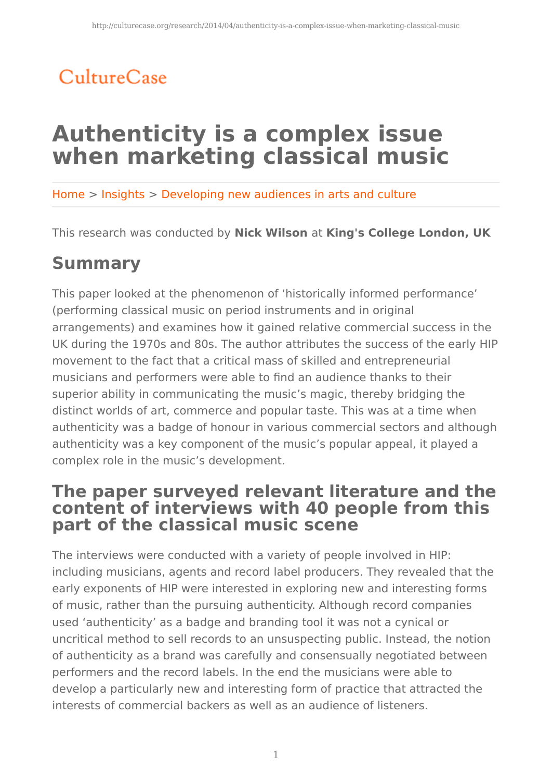## CultureCase

# **Authenticity is a complex issue when marketing classical music**

Home > Insights > Developing new audiences in arts and culture

This research was conducted by **Nick Wilson** at **King's College London, UK**

## **Summary**

This paper looked at the phenomenon of 'historically informed performance' (performing classical music on period instruments and in original arrangements) and examines how it gained relative commercial success in the UK during the 1970s and 80s. The author attributes the success of the early HIP movement to the fact that a critical mass of skilled and entrepreneurial musicians and performers were able to find an audience thanks to their superior ability in communicating the music's magic, thereby bridging the distinct worlds of art, commerce and popular taste. This was at a time when authenticity was a badge of honour in various commercial sectors and although authenticity was a key component of the music's popular appeal, it played a complex role in the music's development.

### **The paper surveyed relevant literature and the content of interviews with 40 people from this part of the classical music scene**

The interviews were conducted with a variety of people involved in HIP: including musicians, agents and record label producers. They revealed that the early exponents of HIP were interested in exploring new and interesting forms of music, rather than the pursuing authenticity. Although record companies used 'authenticity' as a badge and branding tool it was not a cynical or uncritical method to sell records to an unsuspecting public. Instead, the notion of authenticity as a brand was carefully and consensually negotiated between performers and the record labels. In the end the musicians were able to develop a particularly new and interesting form of practice that attracted the interests of commercial backers as well as an audience of listeners.